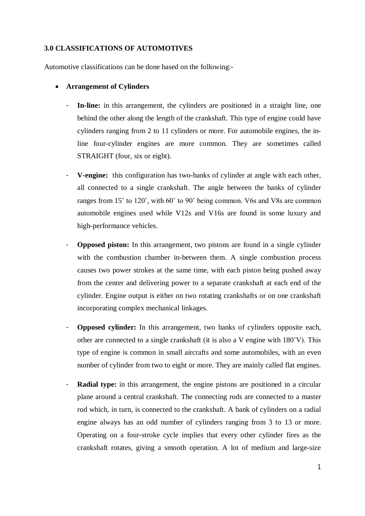### **3.0 CLASSIFICATIONS OF AUTOMOTIVES**

Automotive classifications can be done based on the following:-

- **Arrangement of Cylinders**
	- In-line: in this arrangement, the cylinders are positioned in a straight line, one behind the other along the length of the crankshaft. This type of engine could have cylinders ranging from 2 to 11 cylinders or more. For automobile engines, the inline four-cylinder engines are more common. They are sometimes called STRAIGHT (four, six or eight).
	- **V-engine:** this configuration has two-banks of cylinder at angle with each other, all connected to a single crankshaft. The angle between the banks of cylinder ranges from 15˚ to 120˚, with 60˚ to 90˚ being common. V6s and V8s are common automobile engines used while V12s and V16s are found in some luxury and high-performance vehicles.
	- **Opposed piston:** In this arrangement, two pistons are found in a single cylinder with the combustion chamber in-between them. A single combustion process causes two power strokes at the same time, with each piston being pushed away from the center and delivering power to a separate crankshaft at each end of the cylinder. Engine output is either on two rotating crankshafts or on one crankshaft incorporating complex mechanical linkages.
	- **Opposed cylinder:** In this arrangement, two banks of cylinders opposite each, other are connected to a single crankshaft (it is also a V engine with 180˚V). This type of engine is common in small aircrafts and some automobiles, with an even number of cylinder from two to eight or more. They are mainly called flat engines.
	- **Radial type:** in this arrangement, the engine pistons are positioned in a circular plane around a central crankshaft. The connecting rods are connected to a master rod which, in turn, is connected to the crankshaft. A bank of cylinders on a radial engine always has an odd number of cylinders ranging from 3 to 13 or more. Operating on a four-stroke cycle implies that every other cylinder fires as the crankshaft rotates, giving a smooth operation. A lot of medium and large-size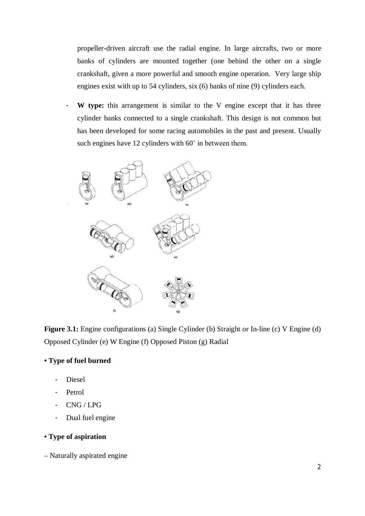propeller-driven aircraft use the radial engine. In large aircrafts, two or more banks of cylinders are mounted together (one behind the other on a single crankshaft, given a more powerful and smooth engine operation. Very large ship engines exist with up to 54 cylinders, six (6) banks of nine (9) cylinders each.

- **W type:** this arrangement is similar to the V engine except that it has three cylinder banks connected to a single crankshaft. This design is not common but has been developed for some racing automobiles in the past and present. Usually such engines have 12 cylinders with 60° in between them.



Figure 3.1: Engine configurations (a) Single Cylinder (b) Straight or In-line (c) V Engine (d) Opposed Cylinder (e) W Engine (f) Opposed Piston (g) Radial

# **• Type of fuel burned**

- Diesel
- Petrol
- CNG / LPG
- Dual fuel engine

# **• Type of aspiration**

– Naturally aspirated engine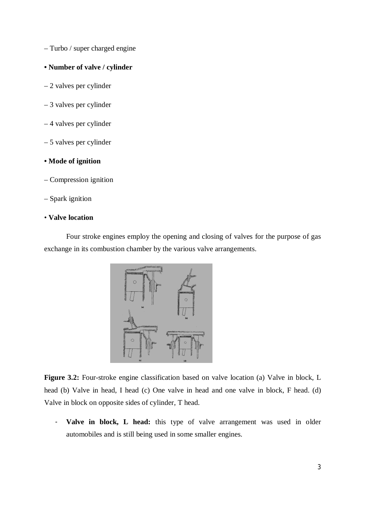– Turbo / super charged engine

#### **• Number of valve / cylinder**

- 2 valves per cylinder
- 3 valves per cylinder
- 4 valves per cylinder
- 5 valves per cylinder

## **• Mode of ignition**

- Compression ignition
- Spark ignition

### • **Valve location**

Four stroke engines employ the opening and closing of valves for the purpose of gas exchange in its combustion chamber by the various valve arrangements.



**Figure 3.2:** Four-stroke engine classification based on valve location (a) Valve in block, L head (b) Valve in head, I head (c) One valve in head and one valve in block, F head. (d) Valve in block on opposite sides of cylinder, T head.

- **Valve in block, L head:** this type of valve arrangement was used in older automobiles and is still being used in some smaller engines.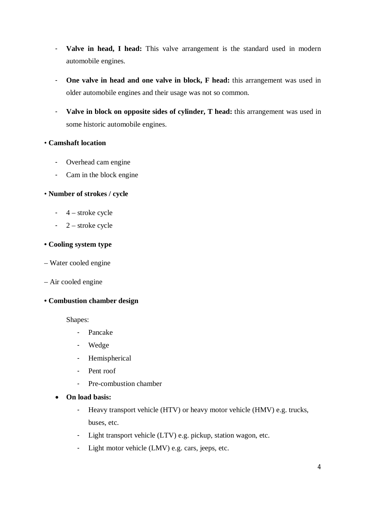- **Valve in head, I head:** This valve arrangement is the standard used in modern automobile engines.
- **One valve in head and one valve in block, F head:** this arrangement was used in older automobile engines and their usage was not so common.
- **Valve in block on opposite sides of cylinder, T head:** this arrangement was used in some historic automobile engines.

## • **Camshaft location**

- Overhead cam engine
- Cam in the block engine

## • **Number of strokes / cycle**

- 4 stroke cycle
- 2 stroke cycle

### **• Cooling system type**

- Water cooled engine
- Air cooled engine

### **• Combustion chamber design**

Shapes:

- Pancake
- Wedge
- Hemispherical
- Pent roof
- Pre-combustion chamber
- **On load basis:** 
	- Heavy transport vehicle (HTV) or heavy motor vehicle (HMV) e.g. trucks, buses, etc.
	- Light transport vehicle (LTV) e.g. pickup, station wagon, etc.
	- Light motor vehicle (LMV) e.g. cars, jeeps, etc.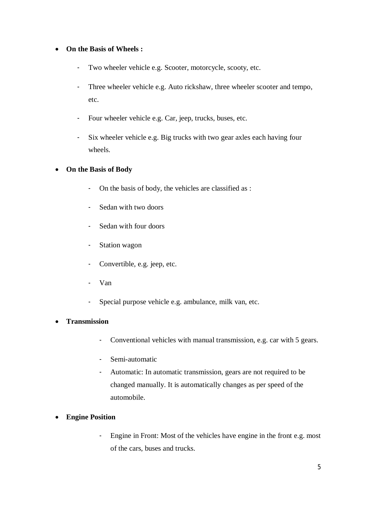# **On the Basis of Wheels :**

- Two wheeler vehicle e.g. Scooter, motorcycle, scooty, etc.
- Three wheeler vehicle e.g. Auto rickshaw, three wheeler scooter and tempo, etc.
- Four wheeler vehicle e.g. Car, jeep, trucks, buses, etc.
- Six wheeler vehicle e.g. Big trucks with two gear axles each having four wheels.

## **On the Basis of Body**

- On the basis of body, the vehicles are classified as :
- Sedan with two doors
- Sedan with four doors
- Station wagon
- Convertible, e.g. jeep, etc.
- Van
- Special purpose vehicle e.g. ambulance, milk van, etc.

## **Transmission**

- Conventional vehicles with manual transmission, e.g. car with 5 gears.
- Semi-automatic
- Automatic: In automatic transmission, gears are not required to be changed manually. It is automatically changes as per speed of the automobile.
- **Engine Position**
	- Engine in Front: Most of the vehicles have engine in the front e.g. most of the cars, buses and trucks.